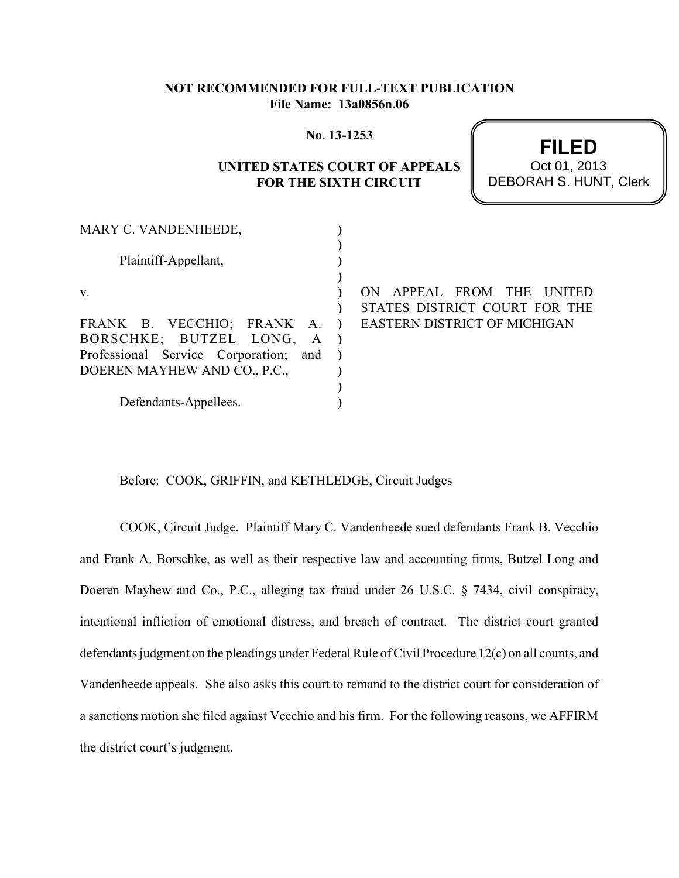## **NOT RECOMMENDED FOR FULL-TEXT PUBLICATION File Name: 13a0856n.06**

#### **No. 13-1253**

# **UNITED STATES COURT OF APPEALS FOR THE SIXTH CIRCUIT**

**FILED** DEBORAH S. HUNT, Clerk Oct 01, 2013

| MARY C. VANDENHEEDE,                   |                                     |
|----------------------------------------|-------------------------------------|
|                                        |                                     |
| Plaintiff-Appellant,                   |                                     |
|                                        |                                     |
| V.                                     | APPEAL FROM THE<br>ON<br>UNITED     |
|                                        | STATES DISTRICT COURT FOR THE       |
| FRANK B. VECCHIO; FRANK A.             | <b>EASTERN DISTRICT OF MICHIGAN</b> |
| BORSCHKE; BUTZEL LONG,<br>$\mathbf{A}$ |                                     |
| Professional Service Corporation; and  |                                     |
| DOEREN MAYHEW AND CO., P.C.,           |                                     |
|                                        |                                     |
| Defendants-Appellees.                  |                                     |

Before: COOK, GRIFFIN, and KETHLEDGE, Circuit Judges

COOK, Circuit Judge. Plaintiff Mary C. Vandenheede sued defendants Frank B. Vecchio and Frank A. Borschke, as well as their respective law and accounting firms, Butzel Long and Doeren Mayhew and Co., P.C., alleging tax fraud under 26 U.S.C. § 7434, civil conspiracy, intentional infliction of emotional distress, and breach of contract. The district court granted defendants judgment on the pleadings under Federal Rule of Civil Procedure 12(c) on all counts, and Vandenheede appeals. She also asks this court to remand to the district court for consideration of a sanctions motion she filed against Vecchio and his firm. For the following reasons, we AFFIRM the district court's judgment.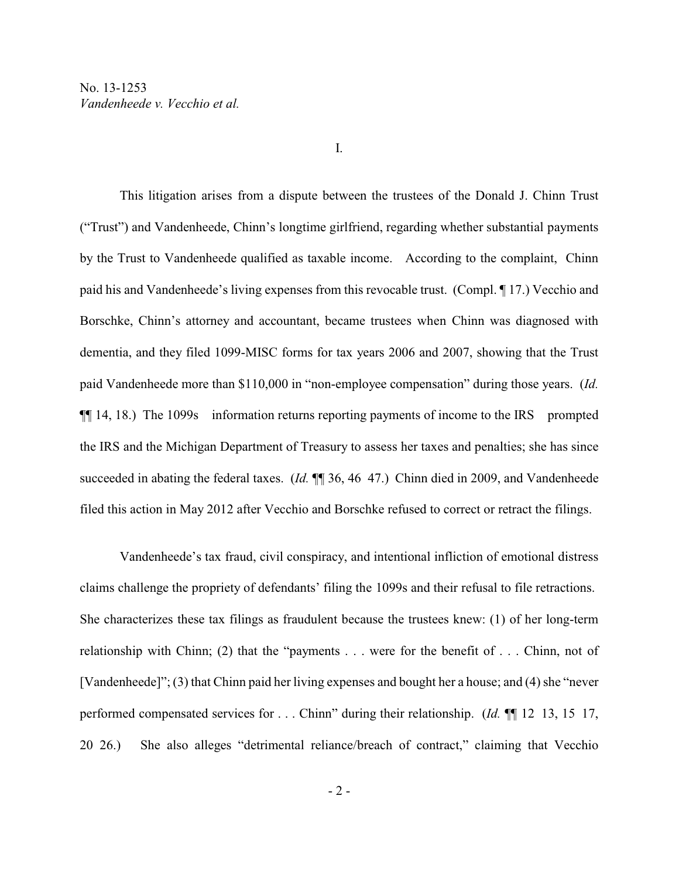This litigation arises from a dispute between the trustees of the Donald J. Chinn Trust ("Trust") and Vandenheede, Chinn's longtime girlfriend, regarding whether substantial payments by the Trust to Vandenheede qualified as taxable income. According to the complaint, Chinn paid his and Vandenheede's living expenses from this revocable trust. (Compl. ¶ 17.) Vecchio and Borschke, Chinn's attorney and accountant, became trustees when Chinn was diagnosed with dementia, and they filed 1099-MISC forms for tax years 2006 and 2007, showing that the Trust paid Vandenheede more than \$110,000 in "non-employee compensation" during those years. (*Id.* ¶¶ 14, 18.) The 1099s information returns reporting payments of income to the IRS prompted the IRS and the Michigan Department of Treasury to assess her taxes and penalties; she has since succeeded in abating the federal taxes. (*Id.*  $\P$  36, 46 47.) Chinn died in 2009, and Vandenheede filed this action in May 2012 after Vecchio and Borschke refused to correct or retract the filings.

Vandenheede's tax fraud, civil conspiracy, and intentional infliction of emotional distress claims challenge the propriety of defendants' filing the 1099s and their refusal to file retractions. She characterizes these tax filings as fraudulent because the trustees knew: (1) of her long-term relationship with Chinn; (2) that the "payments . . . were for the benefit of . . . Chinn, not of [Vandenheede]"; (3) that Chinn paid her living expenses and bought her a house; and (4) she "never performed compensated services for . . . Chinn" during their relationship. (*Id.* ¶¶ 12 13, 15 17, 20 26.) She also alleges "detrimental reliance/breach of contract," claiming that Vecchio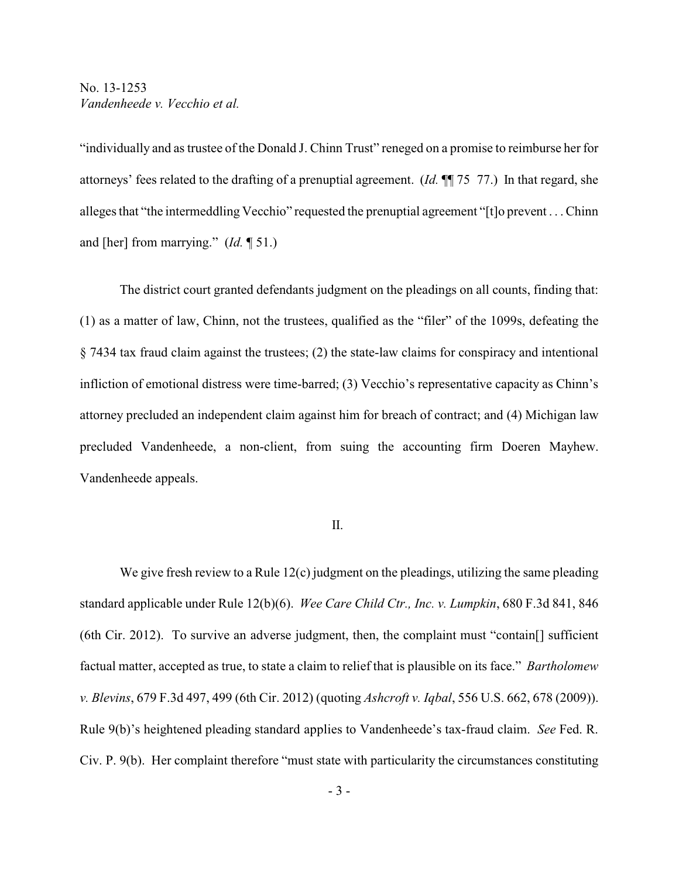"individually and as trustee of the Donald J. Chinn Trust" reneged on a promise to reimburse her for attorneys' fees related to the drafting of a prenuptial agreement. (*Id.* ¶¶ 75 77.) In that regard, she alleges that "the intermeddling Vecchio" requested the prenuptial agreement "[t]o prevent . . . Chinn and [her] from marrying." (*Id.* ¶ 51.)

The district court granted defendants judgment on the pleadings on all counts, finding that: (1) as a matter of law, Chinn, not the trustees, qualified as the "filer" of the 1099s, defeating the § 7434 tax fraud claim against the trustees; (2) the state-law claims for conspiracy and intentional infliction of emotional distress were time-barred; (3) Vecchio's representative capacity as Chinn's attorney precluded an independent claim against him for breach of contract; and (4) Michigan law precluded Vandenheede, a non-client, from suing the accounting firm Doeren Mayhew. Vandenheede appeals.

### II.

We give fresh review to a Rule 12(c) judgment on the pleadings, utilizing the same pleading standard applicable under Rule 12(b)(6). *Wee Care Child Ctr., Inc. v. Lumpkin*, 680 F.3d 841, 846 (6th Cir. 2012). To survive an adverse judgment, then, the complaint must "contain[] sufficient factual matter, accepted as true, to state a claim to relief that is plausible on its face." *Bartholomew v. Blevins*, 679 F.3d 497, 499 (6th Cir. 2012) (quoting *Ashcroft v. Iqbal*, 556 U.S. 662, 678 (2009)). Rule 9(b)'s heightened pleading standard applies to Vandenheede's tax-fraud claim. *See* Fed. R. Civ. P. 9(b). Her complaint therefore "must state with particularity the circumstances constituting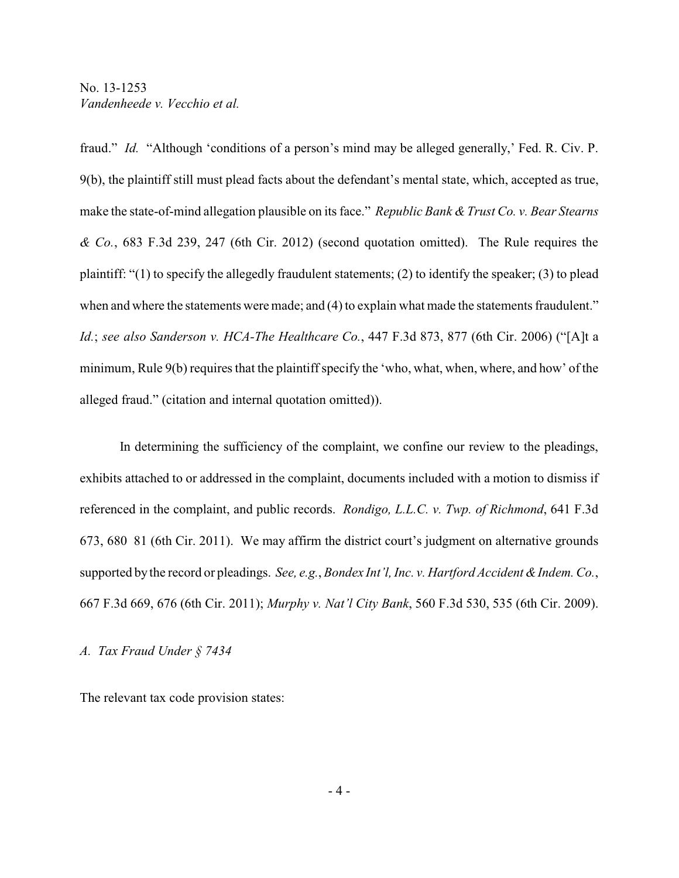fraud." *Id.* "Although 'conditions of a person's mind may be alleged generally,' Fed. R. Civ. P. 9(b), the plaintiff still must plead facts about the defendant's mental state, which, accepted as true, make the state-of-mind allegation plausible on its face." *Republic Bank & Trust Co. v. Bear Stearns & Co.*, 683 F.3d 239, 247 (6th Cir. 2012) (second quotation omitted). The Rule requires the plaintiff: "(1) to specify the allegedly fraudulent statements; (2) to identify the speaker; (3) to plead when and where the statements were made; and (4) to explain what made the statements fraudulent." *Id.*; *see also Sanderson v. HCA-The Healthcare Co.*, 447 F.3d 873, 877 (6th Cir. 2006) ("[A]t a minimum, Rule 9(b) requires that the plaintiff specify the 'who, what, when, where, and how' of the alleged fraud." (citation and internal quotation omitted)).

In determining the sufficiency of the complaint, we confine our review to the pleadings, exhibits attached to or addressed in the complaint, documents included with a motion to dismiss if referenced in the complaint, and public records. *Rondigo, L.L.C. v. Twp. of Richmond*, 641 F.3d 673, 680 81 (6th Cir. 2011). We may affirm the district court's judgment on alternative grounds supported by the record or pleadings. *See, e.g.*, *Bondex Int'l, Inc. v. Hartford Accident & Indem. Co.*, 667 F.3d 669, 676 (6th Cir. 2011); *Murphy v. Nat'l City Bank*, 560 F.3d 530, 535 (6th Cir. 2009).

#### *A. Tax Fraud Under § 7434*

The relevant tax code provision states: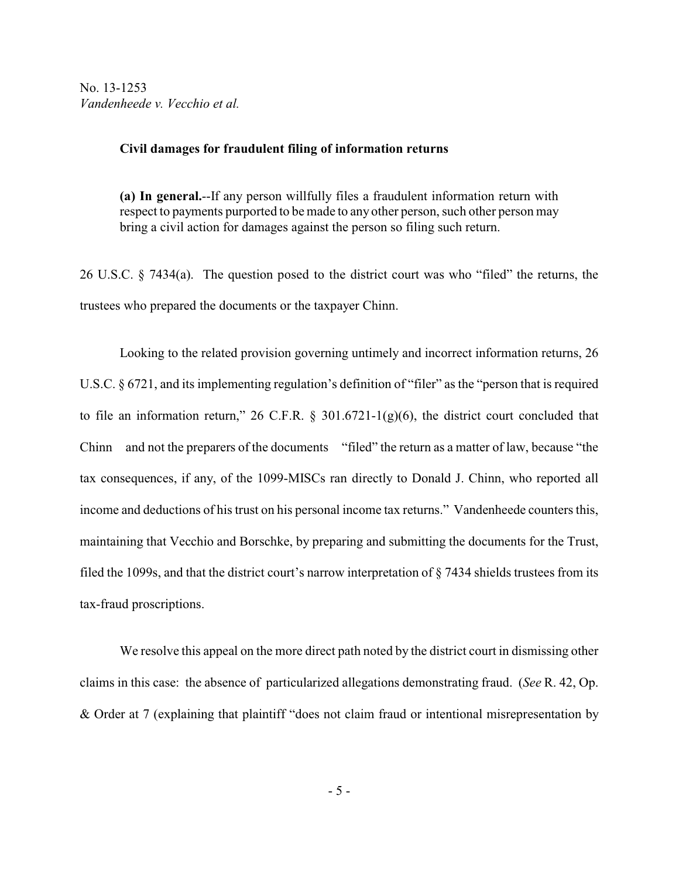#### **Civil damages for fraudulent filing of information returns**

**(a) In general.**--If any person willfully files a fraudulent information return with respect to payments purported to be made to any other person, such other person may bring a civil action for damages against the person so filing such return.

26 U.S.C. § 7434(a). The question posed to the district court was who "filed" the returns, the trustees who prepared the documents or the taxpayer Chinn.

Looking to the related provision governing untimely and incorrect information returns, 26 U.S.C. § 6721, and its implementing regulation's definition of "filer" as the "person that is required to file an information return," 26 C.F.R.  $\S$  301.6721-1(g)(6), the district court concluded that Chinn and not the preparers of the documents "filed" the return as a matter of law, because "the tax consequences, if any, of the 1099-MISCs ran directly to Donald J. Chinn, who reported all income and deductions of his trust on his personal income tax returns." Vandenheede counters this, maintaining that Vecchio and Borschke, by preparing and submitting the documents for the Trust, filed the 1099s, and that the district court's narrow interpretation of § 7434 shields trustees from its tax-fraud proscriptions.

We resolve this appeal on the more direct path noted by the district court in dismissing other claims in this case: the absence of particularized allegations demonstrating fraud. (*See* R. 42, Op. & Order at 7 (explaining that plaintiff "does not claim fraud or intentional misrepresentation by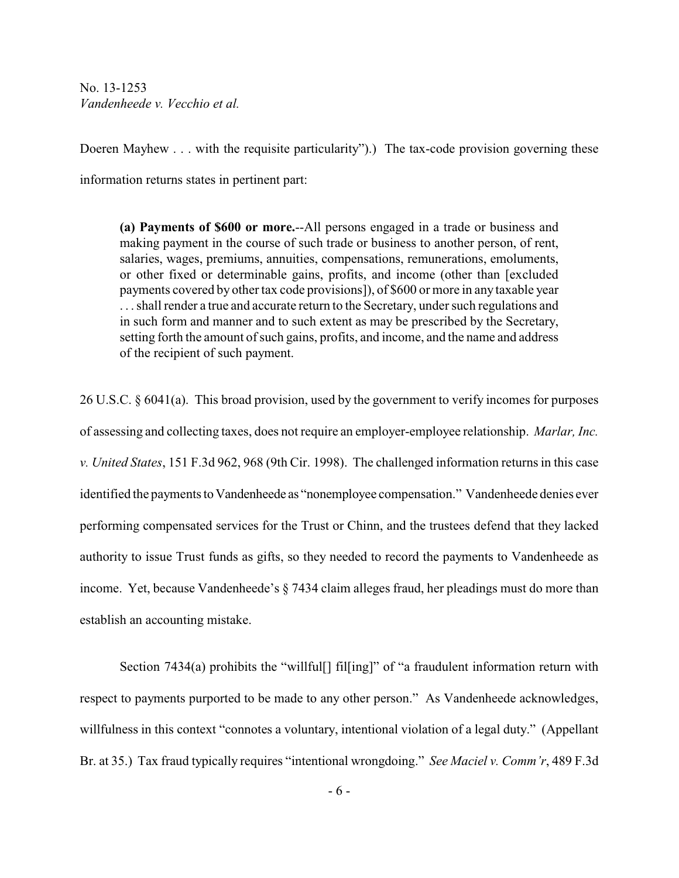Doeren Mayhew . . . with the requisite particularity".) The tax-code provision governing these information returns states in pertinent part:

**(a) Payments of \$600 or more.**--All persons engaged in a trade or business and making payment in the course of such trade or business to another person, of rent, salaries, wages, premiums, annuities, compensations, remunerations, emoluments, or other fixed or determinable gains, profits, and income (other than [excluded payments covered by other tax code provisions]), of \$600 or more in any taxable year . . . shall render a true and accurate return to the Secretary, under such regulations and in such form and manner and to such extent as may be prescribed by the Secretary, setting forth the amount of such gains, profits, and income, and the name and address of the recipient of such payment.

26 U.S.C. § 6041(a). This broad provision, used by the government to verify incomes for purposes of assessing and collecting taxes, does not require an employer-employee relationship. *Marlar, Inc. v. United States*, 151 F.3d 962, 968 (9th Cir. 1998). The challenged information returns in this case identified the payments toVandenheede as "nonemployee compensation." Vandenheede denies ever performing compensated services for the Trust or Chinn, and the trustees defend that they lacked authority to issue Trust funds as gifts, so they needed to record the payments to Vandenheede as income. Yet, because Vandenheede's § 7434 claim alleges fraud, her pleadings must do more than establish an accounting mistake.

Section 7434(a) prohibits the "willful[] fil[ing]" of "a fraudulent information return with respect to payments purported to be made to any other person." As Vandenheede acknowledges, willfulness in this context "connotes a voluntary, intentional violation of a legal duty." (Appellant Br. at 35.) Tax fraud typically requires "intentional wrongdoing." *See Maciel v. Comm'r*, 489 F.3d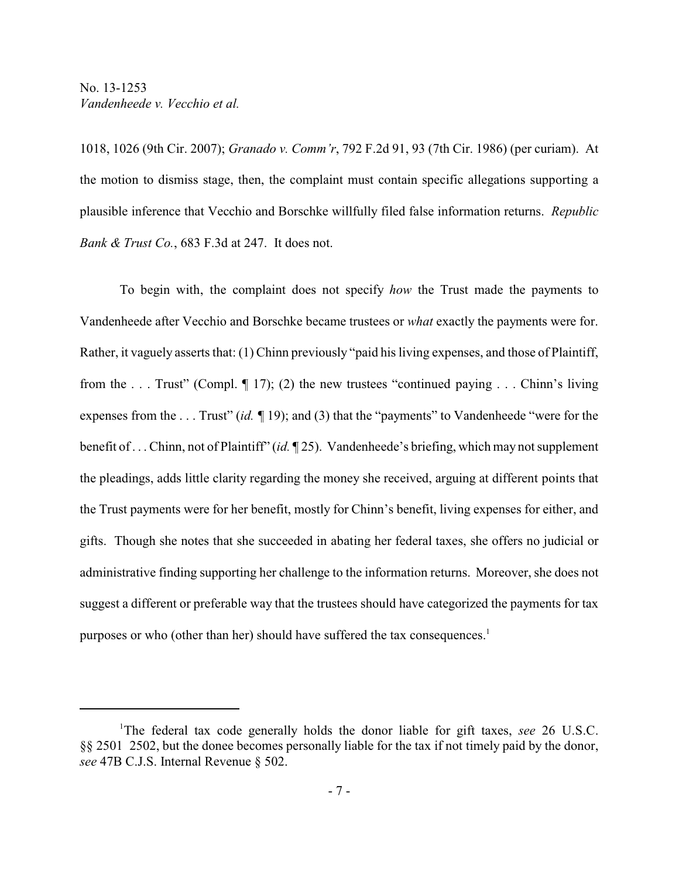1018, 1026 (9th Cir. 2007); *Granado v. Comm'r*, 792 F.2d 91, 93 (7th Cir. 1986) (per curiam). At the motion to dismiss stage, then, the complaint must contain specific allegations supporting a plausible inference that Vecchio and Borschke willfully filed false information returns. *Republic Bank & Trust Co.*, 683 F.3d at 247. It does not.

To begin with, the complaint does not specify *how* the Trust made the payments to Vandenheede after Vecchio and Borschke became trustees or *what* exactly the payments were for. Rather, it vaguely asserts that: (1) Chinn previously "paid his living expenses, and those of Plaintiff, from the . . . Trust" (Compl. ¶ 17); (2) the new trustees "continued paying . . . Chinn's living expenses from the . . . Trust" (*id. ¶* 19); and (3) that the "payments" to Vandenheede "were for the benefit of . . . Chinn, not of Plaintiff" (*id.* ¶ 25). Vandenheede's briefing, which may not supplement the pleadings, adds little clarity regarding the money she received, arguing at different points that the Trust payments were for her benefit, mostly for Chinn's benefit, living expenses for either, and gifts. Though she notes that she succeeded in abating her federal taxes, she offers no judicial or administrative finding supporting her challenge to the information returns. Moreover, she does not suggest a different or preferable way that the trustees should have categorized the payments for tax purposes or who (other than her) should have suffered the tax consequences.<sup>1</sup>

The federal tax code generally holds the donor liable for gift taxes, *see* 26 U.S.C. <sup>1</sup> §§ 2501 2502, but the donee becomes personally liable for the tax if not timely paid by the donor, *see* 47B C.J.S. Internal Revenue § 502.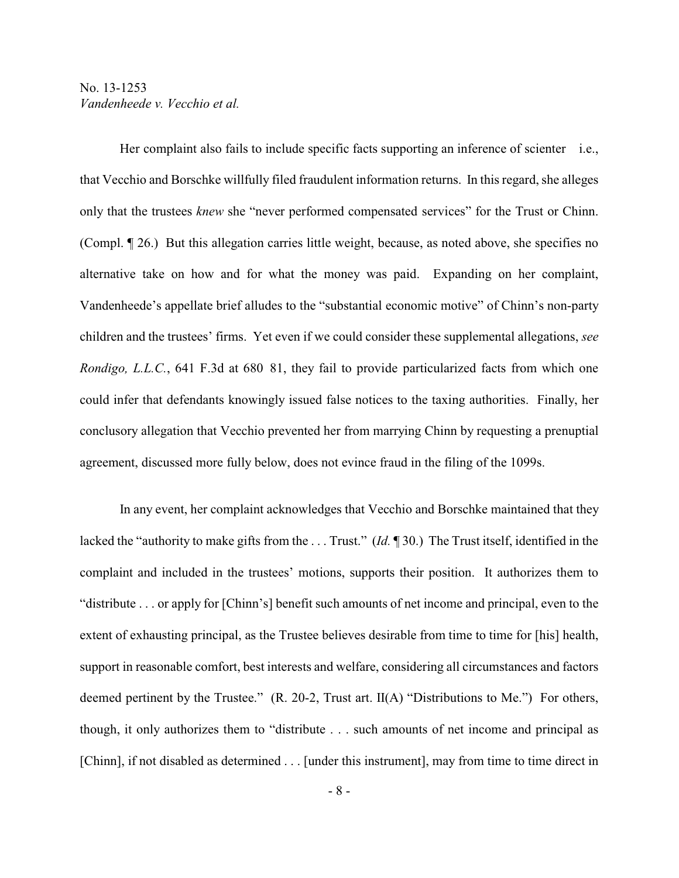Her complaint also fails to include specific facts supporting an inference of scienter i.e., that Vecchio and Borschke willfully filed fraudulent information returns. In this regard, she alleges only that the trustees *knew* she "never performed compensated services" for the Trust or Chinn. (Compl. ¶ 26.) But this allegation carries little weight, because, as noted above, she specifies no alternative take on how and for what the money was paid. Expanding on her complaint, Vandenheede's appellate brief alludes to the "substantial economic motive" of Chinn's non-party children and the trustees' firms. Yet even if we could consider these supplemental allegations, *see Rondigo, L.L.C.*, 641 F.3d at 680 81, they fail to provide particularized facts from which one could infer that defendants knowingly issued false notices to the taxing authorities. Finally, her conclusory allegation that Vecchio prevented her from marrying Chinn by requesting a prenuptial agreement, discussed more fully below, does not evince fraud in the filing of the 1099s.

In any event, her complaint acknowledges that Vecchio and Borschke maintained that they lacked the "authority to make gifts from the . . . Trust." (*Id.* ¶ 30.) The Trust itself, identified in the complaint and included in the trustees' motions, supports their position. It authorizes them to "distribute . . . or apply for [Chinn's] benefit such amounts of net income and principal, even to the extent of exhausting principal, as the Trustee believes desirable from time to time for [his] health, support in reasonable comfort, best interests and welfare, considering all circumstances and factors deemed pertinent by the Trustee." (R. 20-2, Trust art. II(A) "Distributions to Me.") For others, though, it only authorizes them to "distribute . . . such amounts of net income and principal as [Chinn], if not disabled as determined . . . [under this instrument], may from time to time direct in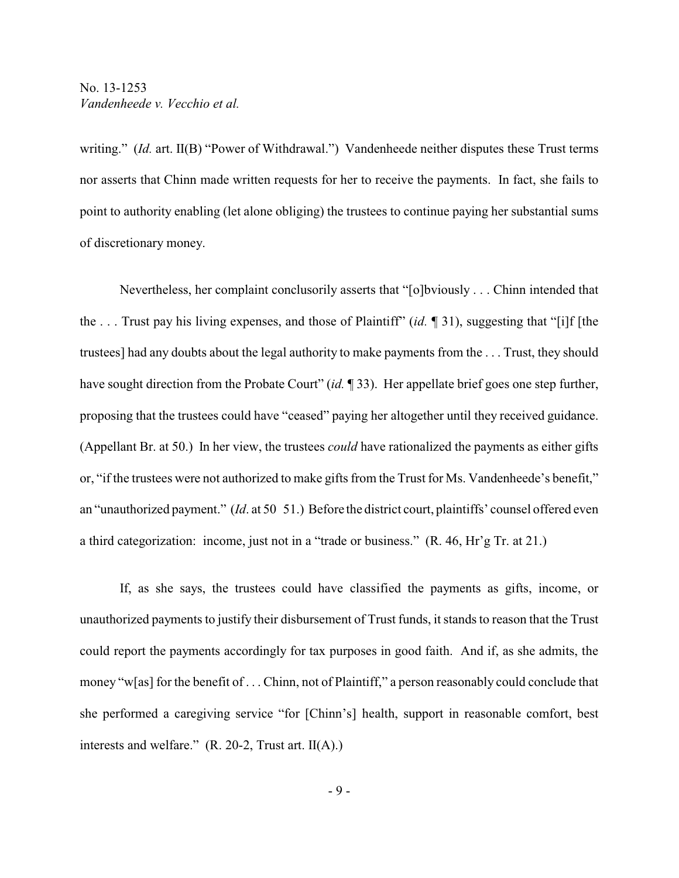writing." *(Id.* art. II(B) "Power of Withdrawal.") Vandenheede neither disputes these Trust terms nor asserts that Chinn made written requests for her to receive the payments. In fact, she fails to point to authority enabling (let alone obliging) the trustees to continue paying her substantial sums of discretionary money.

Nevertheless, her complaint conclusorily asserts that "[o]bviously . . . Chinn intended that the . . . Trust pay his living expenses, and those of Plaintiff" (*id.* ¶ 31), suggesting that "[i]f [the trustees] had any doubts about the legal authority to make payments from the . . . Trust, they should have sought direction from the Probate Court" (*id.* ¶ 33). Her appellate brief goes one step further, proposing that the trustees could have "ceased" paying her altogether until they received guidance. (Appellant Br. at 50.) In her view, the trustees *could* have rationalized the payments as either gifts or, "if the trustees were not authorized to make gifts from the Trust for Ms. Vandenheede's benefit," an "unauthorized payment." (*Id*. at 50 51.) Before the district court, plaintiffs' counsel offered even a third categorization: income, just not in a "trade or business." (R. 46, Hr'g Tr. at 21.)

If, as she says, the trustees could have classified the payments as gifts, income, or unauthorized payments to justify their disbursement of Trust funds, it stands to reason that the Trust could report the payments accordingly for tax purposes in good faith. And if, as she admits, the money "w[as] for the benefit of . . . Chinn, not of Plaintiff," a person reasonably could conclude that she performed a caregiving service "for [Chinn's] health, support in reasonable comfort, best interests and welfare." (R. 20-2, Trust art. II(A).)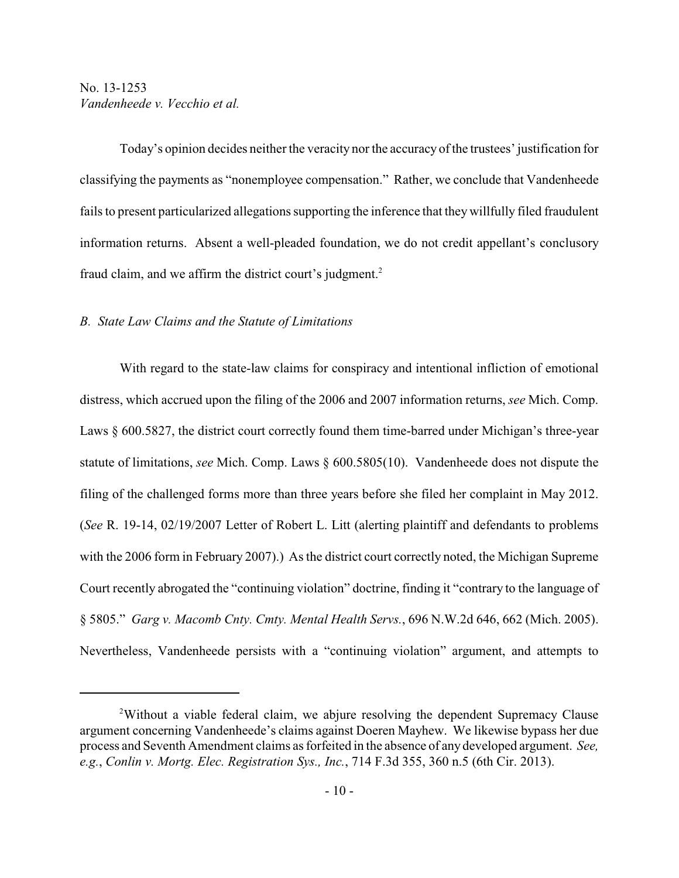Today's opinion decides neither the veracity nor the accuracy of the trustees' justification for classifying the payments as "nonemployee compensation." Rather, we conclude that Vandenheede fails to present particularized allegations supporting the inference that they willfully filed fraudulent information returns. Absent a well-pleaded foundation, we do not credit appellant's conclusory fraud claim, and we affirm the district court's judgment.<sup>2</sup>

#### *B. State Law Claims and the Statute of Limitations*

With regard to the state-law claims for conspiracy and intentional infliction of emotional distress, which accrued upon the filing of the 2006 and 2007 information returns, *see* Mich. Comp. Laws § 600.5827, the district court correctly found them time-barred under Michigan's three-year statute of limitations, *see* Mich. Comp. Laws § 600.5805(10). Vandenheede does not dispute the filing of the challenged forms more than three years before she filed her complaint in May 2012. (*See* R. 19-14, 02/19/2007 Letter of Robert L. Litt (alerting plaintiff and defendants to problems with the 2006 form in February 2007).) As the district court correctly noted, the Michigan Supreme Court recently abrogated the "continuing violation" doctrine, finding it "contrary to the language of § 5805." *Garg v. Macomb Cnty. Cmty. Mental Health Servs.*, 696 N.W.2d 646, 662 (Mich. 2005). Nevertheless, Vandenheede persists with a "continuing violation" argument, and attempts to

<sup>&</sup>lt;sup>2</sup>Without a viable federal claim, we abjure resolving the dependent Supremacy Clause argument concerning Vandenheede's claims against Doeren Mayhew. We likewise bypass her due process and Seventh Amendment claims as forfeited in the absence of any developed argument. *See, e.g.*, *Conlin v. Mortg. Elec. Registration Sys., Inc.*, 714 F.3d 355, 360 n.5 (6th Cir. 2013).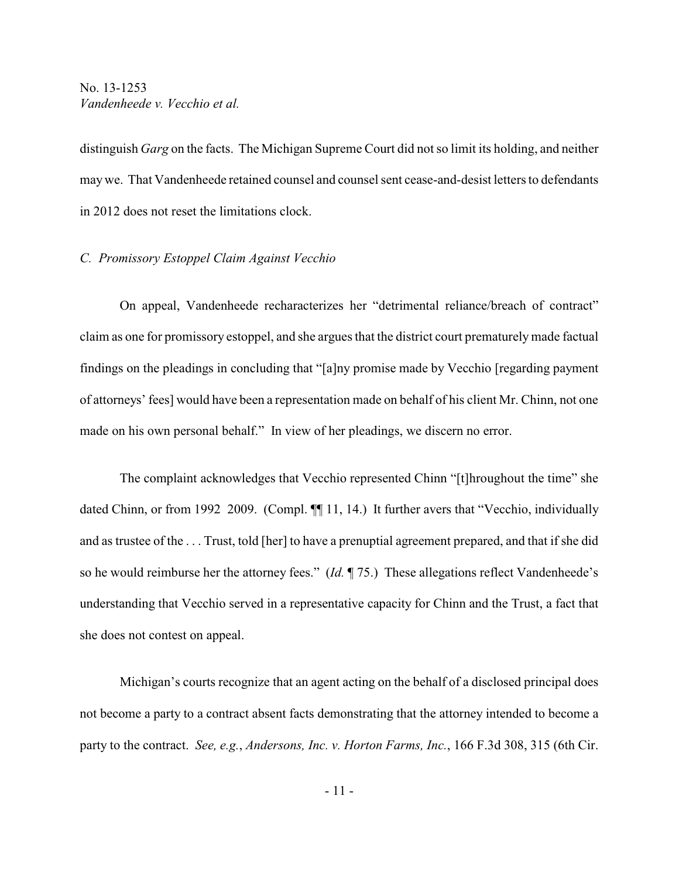distinguish *Garg* on the facts. The Michigan Supreme Court did not so limit its holding, and neither may we. That Vandenheede retained counsel and counsel sent cease-and-desist letters to defendants in 2012 does not reset the limitations clock.

### *C. Promissory Estoppel Claim Against Vecchio*

On appeal, Vandenheede recharacterizes her "detrimental reliance/breach of contract" claim as one for promissory estoppel, and she argues that the district court prematurely made factual findings on the pleadings in concluding that "[a]ny promise made by Vecchio [regarding payment of attorneys' fees] would have been a representation made on behalf of his client Mr. Chinn, not one made on his own personal behalf." In view of her pleadings, we discern no error.

The complaint acknowledges that Vecchio represented Chinn "[t]hroughout the time" she dated Chinn, or from 1992 2009. (Compl.  $\P$  11, 14.) It further avers that "Vecchio, individually and as trustee of the . . . Trust, told [her] to have a prenuptial agreement prepared, and that if she did so he would reimburse her the attorney fees." (*Id.* ¶ 75.) These allegations reflect Vandenheede's understanding that Vecchio served in a representative capacity for Chinn and the Trust, a fact that she does not contest on appeal.

Michigan's courts recognize that an agent acting on the behalf of a disclosed principal does not become a party to a contract absent facts demonstrating that the attorney intended to become a party to the contract. *See, e.g.*, *Andersons, Inc. v. Horton Farms, Inc.*, 166 F.3d 308, 315 (6th Cir.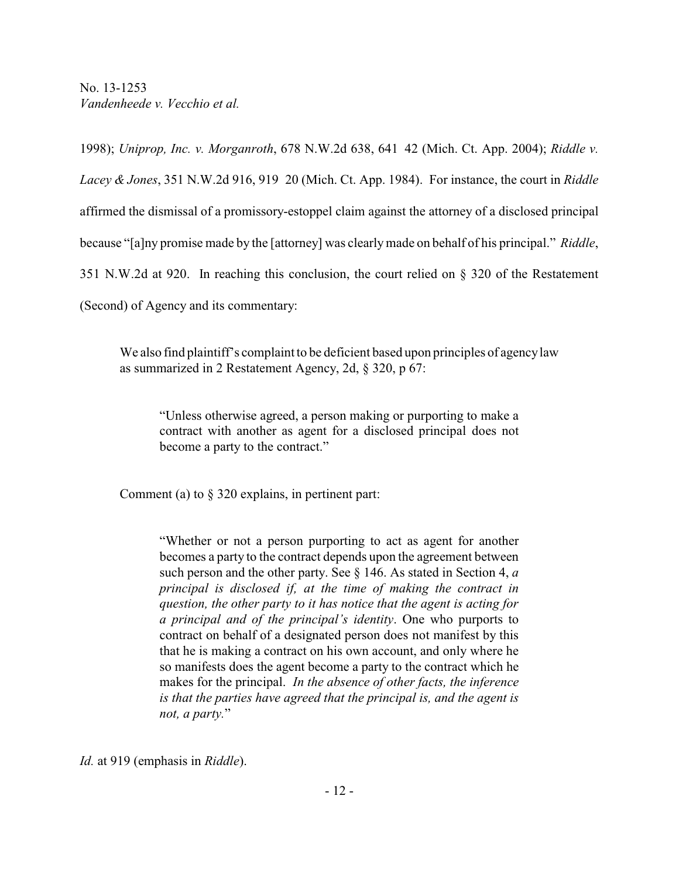1998); *Uniprop, Inc. v. Morganroth*, 678 N.W.2d 638, 641 42 (Mich. Ct. App. 2004); *Riddle v. Lacey & Jones*, 351 N.W.2d 916, 919 20 (Mich. Ct. App. 1984). For instance, the court in *Riddle* affirmed the dismissal of a promissory-estoppel claim against the attorney of a disclosed principal because "[a]ny promise made by the [attorney] was clearly made on behalf of his principal." *Riddle*, 351 N.W.2d at 920. In reaching this conclusion, the court relied on § 320 of the Restatement (Second) of Agency and its commentary:

We also find plaintiff's complaint to be deficient based upon principles of agency law as summarized in 2 Restatement Agency, 2d, § 320, p 67:

"Unless otherwise agreed, a person making or purporting to make a contract with another as agent for a disclosed principal does not become a party to the contract."

Comment (a) to § 320 explains, in pertinent part:

"Whether or not a person purporting to act as agent for another becomes a party to the contract depends upon the agreement between such person and the other party. See § 146. As stated in Section 4, *a principal is disclosed if, at the time of making the contract in question, the other party to it has notice that the agent is acting for a principal and of the principal's identity*. One who purports to contract on behalf of a designated person does not manifest by this that he is making a contract on his own account, and only where he so manifests does the agent become a party to the contract which he makes for the principal. *In the absence of other facts, the inference is that the parties have agreed that the principal is, and the agent is not, a party.*"

*Id.* at 919 (emphasis in *Riddle*).